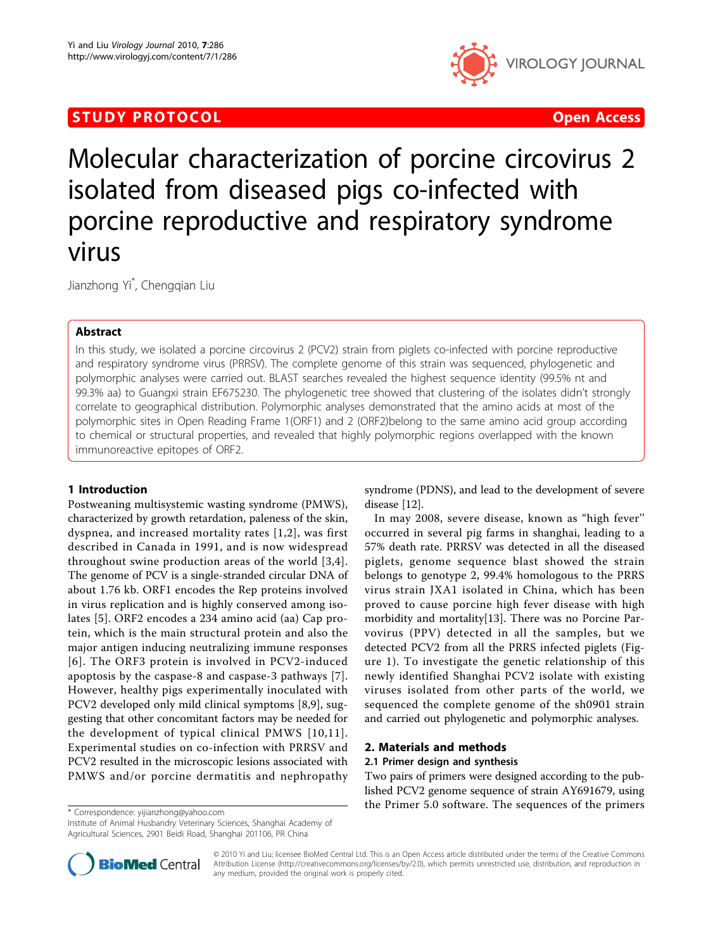# STUDY PROTOCOL CONTROL CONTROL CONTROL CONTROL CONTROL CONTROL CONTROL CONTROL CONTROL CONTROL CONTROL CONTROL



Molecular characterization of porcine circovirus 2 isolated from diseased pigs co-infected with porcine reproductive and respiratory syndrome virus

Jianzhong Yi\* , Chengqian Liu

### Abstract

In this study, we isolated a porcine circovirus 2 (PCV2) strain from piglets co-infected with porcine reproductive and respiratory syndrome virus (PRRSV). The complete genome of this strain was sequenced, phylogenetic and polymorphic analyses were carried out. BLAST searches revealed the highest sequence identity (99.5% nt and 99.3% aa) to Guangxi strain EF675230. The phylogenetic tree showed that clustering of the isolates didn't strongly correlate to geographical distribution. Polymorphic analyses demonstrated that the amino acids at most of the polymorphic sites in Open Reading Frame 1(ORF1) and 2 (ORF2)belong to the same amino acid group according to chemical or structural properties, and revealed that highly polymorphic regions overlapped with the known immunoreactive epitopes of ORF2.

### 1 Introduction

Postweaning multisystemic wasting syndrome (PMWS), characterized by growth retardation, paleness of the skin, dyspnea, and increased mortality rates [[1](#page-3-0),[2\]](#page-3-0), was first described in Canada in 1991, and is now widespread throughout swine production areas of the world [[3](#page-3-0),[4\]](#page-3-0). The genome of PCV is a single-stranded circular DNA of about 1.76 kb. ORF1 encodes the Rep proteins involved in virus replication and is highly conserved among isolates [[5](#page-3-0)]. ORF2 encodes a 234 amino acid (aa) Cap protein, which is the main structural protein and also the major antigen inducing neutralizing immune responses [[6\]](#page-3-0). The ORF3 protein is involved in PCV2-induced apoptosis by the caspase-8 and caspase-3 pathways [[7](#page-3-0)]. However, healthy pigs experimentally inoculated with PCV2 developed only mild clinical symptoms [\[8,9](#page-3-0)], suggesting that other concomitant factors may be needed for the development of typical clinical PMWS [[10](#page-3-0),[11\]](#page-3-0). Experimental studies on co-infection with PRRSV and PCV2 resulted in the microscopic lesions associated with PMWS and/or porcine dermatitis and nephropathy

syndrome (PDNS), and lead to the development of severe disease [[12\]](#page-3-0).

In may 2008, severe disease, known as "high fever'' occurred in several pig farms in shanghai, leading to a 57% death rate. PRRSV was detected in all the diseased piglets, genome sequence blast showed the strain belongs to genotype 2, 99.4% homologous to the PRRS virus strain JXA1 isolated in China, which has been proved to cause porcine high fever disease with high morbidity and mortality[[13\]](#page-3-0). There was no Porcine Parvovirus (PPV) detected in all the samples, but we detected PCV2 from all the PRRS infected piglets (Figure [1\)](#page-1-0). To investigate the genetic relationship of this newly identified Shanghai PCV2 isolate with existing viruses isolated from other parts of the world, we sequenced the complete genome of the sh0901 strain and carried out phylogenetic and polymorphic analyses.

## 2. Materials and methods

#### 2.1 Primer design and synthesis

Two pairs of primers were designed according to the published PCV2 genome sequence of strain AY691679, using the Primer 5.0 software. The sequences of the primers \* Correspondence: [yijianzhong@yahoo.com](mailto:yijianzhong@yahoo.com)

Institute of Animal Husbandry Veterinary Sciences, Shanghai Academy of Agricultural Sciences, 2901 Beidi Road, Shanghai 201106, PR China



© 2010 Yi and Liu; licensee BioMed Central Ltd. This is an Open Access article distributed under the terms of the Creative Commons Attribution License [\(http://creativecommons.org/licenses/by/2.0](http://creativecommons.org/licenses/by/2.0)), which permits unrestricted use, distribution, and reproduction in any medium, provided the original work is properly cited.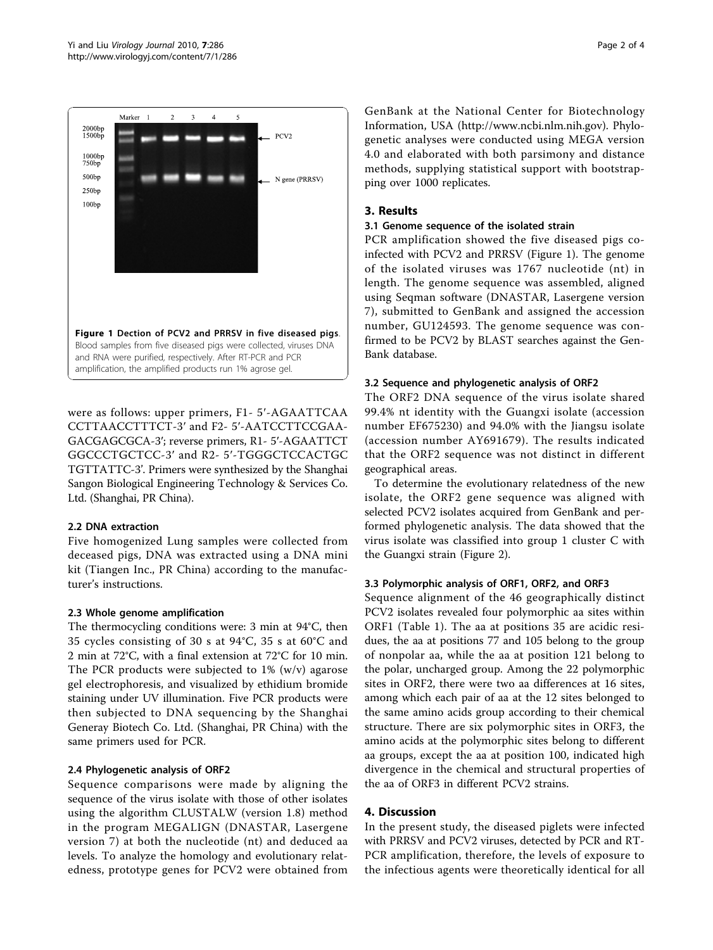<span id="page-1-0"></span>

were as follows: upper primers, F1- 5′-AGAATTCAA CCTTAACCTTTCT-3′ and F2- 5′-AATCCTTCCGAA-GACGAGCGCA-3′; reverse primers, R1- 5′-AGAATTCT GGCCCTGCTCC-3′ and R2- 5′-TGGGCTCCACTGC TGTTATTC-3'. Primers were synthesized by the Shanghai Sangon Biological Engineering Technology & Services Co. Ltd. (Shanghai, PR China).

#### 2.2 DNA extraction

Five homogenized Lung samples were collected from deceased pigs, DNA was extracted using a DNA mini kit (Tiangen Inc., PR China) according to the manufacturer's instructions.

### 2.3 Whole genome amplification

The thermocycling conditions were: 3 min at 94°C, then 35 cycles consisting of 30 s at 94°C, 35 s at 60°C and 2 min at 72°C, with a final extension at 72°C for 10 min. The PCR products were subjected to 1% (w/v) agarose gel electrophoresis, and visualized by ethidium bromide staining under UV illumination. Five PCR products were then subjected to DNA sequencing by the Shanghai Generay Biotech Co. Ltd. (Shanghai, PR China) with the same primers used for PCR.

### 2.4 Phylogenetic analysis of ORF2

Sequence comparisons were made by aligning the sequence of the virus isolate with those of other isolates using the algorithm CLUSTALW (version 1.8) method in the program MEGALIGN (DNASTAR, Lasergene version 7) at both the nucleotide (nt) and deduced aa levels. To analyze the homology and evolutionary relatedness, prototype genes for PCV2 were obtained from

GenBank at the National Center for Biotechnology Information, USA (<http://www.ncbi.nlm.nih.gov>). Phylogenetic analyses were conducted using MEGA version 4.0 and elaborated with both parsimony and distance methods, supplying statistical support with bootstrapping over 1000 replicates.

### 3. Results

#### 3.1 Genome sequence of the isolated strain

PCR amplification showed the five diseased pigs coinfected with PCV2 and PRRSV (Figure 1). The genome of the isolated viruses was 1767 nucleotide (nt) in length. The genome sequence was assembled, aligned using Seqman software (DNASTAR, Lasergene version 7), submitted to GenBank and assigned the accession number, GU124593. The genome sequence was confirmed to be PCV2 by BLAST searches against the Gen-Bank database.

### 3.2 Sequence and phylogenetic analysis of ORF2

The ORF2 DNA sequence of the virus isolate shared 99.4% nt identity with the Guangxi isolate (accession number EF675230) and 94.0% with the Jiangsu isolate (accession number AY691679). The results indicated that the ORF2 sequence was not distinct in different geographical areas.

To determine the evolutionary relatedness of the new isolate, the ORF2 gene sequence was aligned with selected PCV2 isolates acquired from GenBank and performed phylogenetic analysis. The data showed that the virus isolate was classified into group 1 cluster C with the Guangxi strain (Figure [2](#page-2-0)).

### 3.3 Polymorphic analysis of ORF1, ORF2, and ORF3

Sequence alignment of the 46 geographically distinct PCV2 isolates revealed four polymorphic aa sites within ORF1 (Table [1\)](#page-3-0). The aa at positions 35 are acidic residues, the aa at positions 77 and 105 belong to the group of nonpolar aa, while the aa at position 121 belong to the polar, uncharged group. Among the 22 polymorphic sites in ORF2, there were two aa differences at 16 sites, among which each pair of aa at the 12 sites belonged to the same amino acids group according to their chemical structure. There are six polymorphic sites in ORF3, the amino acids at the polymorphic sites belong to different aa groups, except the aa at position 100, indicated high divergence in the chemical and structural properties of the aa of ORF3 in different PCV2 strains.

### 4. Discussion

In the present study, the diseased piglets were infected with PRRSV and PCV2 viruses, detected by PCR and RT-PCR amplification, therefore, the levels of exposure to the infectious agents were theoretically identical for all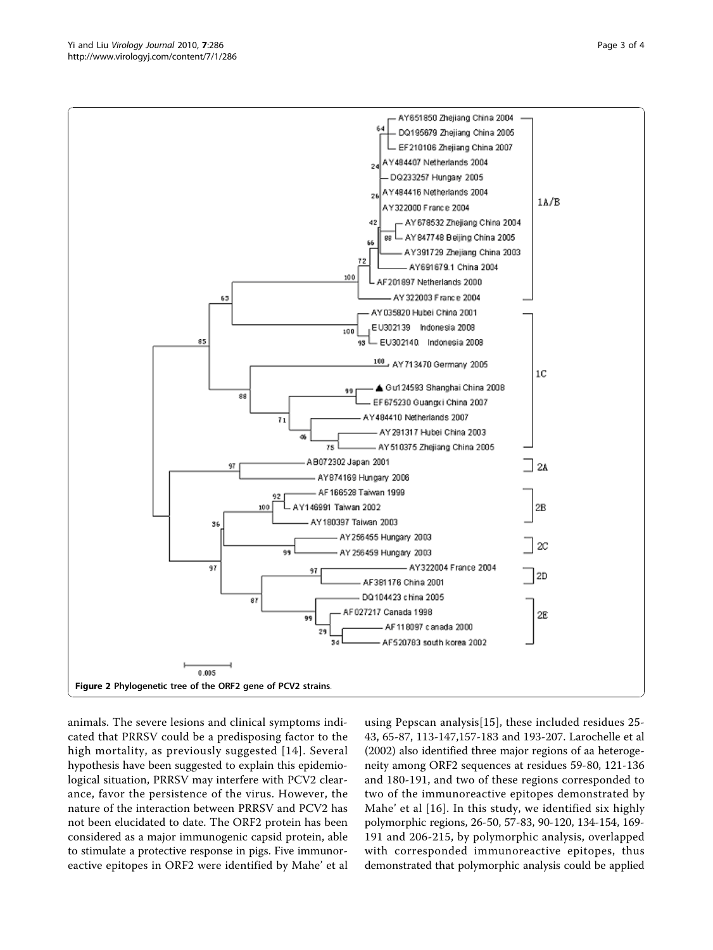<span id="page-2-0"></span>

animals. The severe lesions and clinical symptoms indicated that PRRSV could be a predisposing factor to the high mortality, as previously suggested [[14](#page-3-0)]. Several hypothesis have been suggested to explain this epidemiological situation, PRRSV may interfere with PCV2 clearance, favor the persistence of the virus. However, the nature of the interaction between PRRSV and PCV2 has not been elucidated to date. The ORF2 protein has been considered as a major immunogenic capsid protein, able to stimulate a protective response in pigs. Five immunoreactive epitopes in ORF2 were identified by Mahe' et al

using Pepscan analysis[[15](#page-3-0)], these included residues 25- 43, 65-87, 113-147,157-183 and 193-207. Larochelle et al (2002) also identified three major regions of aa heterogeneity among ORF2 sequences at residues 59-80, 121-136 and 180-191, and two of these regions corresponded to two of the immunoreactive epitopes demonstrated by Mahe' et al [\[16\]](#page-3-0). In this study, we identified six highly polymorphic regions, 26-50, 57-83, 90-120, 134-154, 169- 191 and 206-215, by polymorphic analysis, overlapped with corresponded immunoreactive epitopes, thus demonstrated that polymorphic analysis could be applied